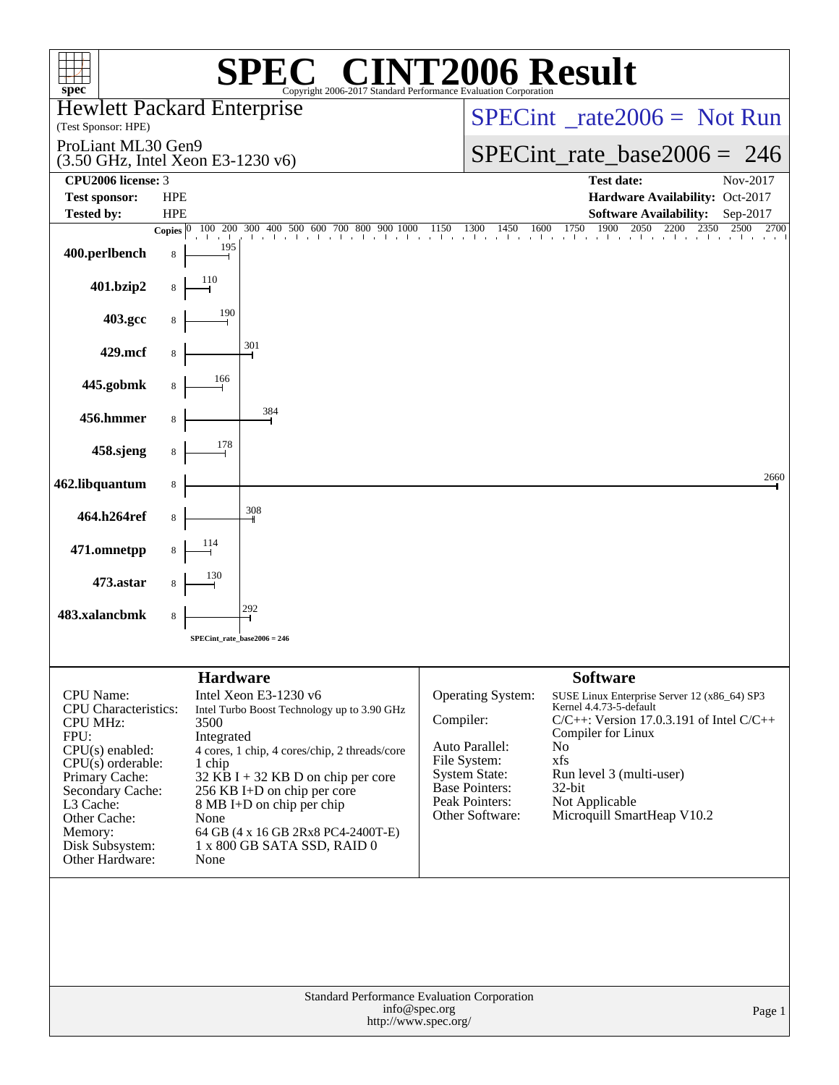| spec <sup>®</sup>                                                                                                                                                                                                                   |                                                                 | $\bigcap$<br>Copyright 2006-2017 Standard Performance Evaluation Corporation                                                                                                                                                                                                                   | <b>NT2006 Result</b>                                                                                                                                   |                                                                                                                                                                                                                                                                                  |
|-------------------------------------------------------------------------------------------------------------------------------------------------------------------------------------------------------------------------------------|-----------------------------------------------------------------|------------------------------------------------------------------------------------------------------------------------------------------------------------------------------------------------------------------------------------------------------------------------------------------------|--------------------------------------------------------------------------------------------------------------------------------------------------------|----------------------------------------------------------------------------------------------------------------------------------------------------------------------------------------------------------------------------------------------------------------------------------|
| <b>Hewlett Packard Enterprise</b><br>(Test Sponsor: HPE)                                                                                                                                                                            |                                                                 |                                                                                                                                                                                                                                                                                                |                                                                                                                                                        | $SPECint^{\circ} rate2006 = Not Run$                                                                                                                                                                                                                                             |
| ProLiant ML30 Gen9<br>(3.50 GHz, Intel Xeon E3-1230 v6)                                                                                                                                                                             |                                                                 |                                                                                                                                                                                                                                                                                                |                                                                                                                                                        | $SPECint_rate\_base2006 = 246$                                                                                                                                                                                                                                                   |
| CPU2006 license: 3                                                                                                                                                                                                                  |                                                                 |                                                                                                                                                                                                                                                                                                |                                                                                                                                                        | <b>Test date:</b><br>Nov-2017                                                                                                                                                                                                                                                    |
| <b>Test sponsor:</b>                                                                                                                                                                                                                | <b>HPE</b>                                                      |                                                                                                                                                                                                                                                                                                |                                                                                                                                                        | Hardware Availability: Oct-2017                                                                                                                                                                                                                                                  |
| <b>Tested by:</b>                                                                                                                                                                                                                   | <b>HPE</b><br>100 200                                           | 300 400 500 600 700 800                                                                                                                                                                                                                                                                        |                                                                                                                                                        | <b>Software Availability:</b><br>Sep-2017<br>1750<br>2050<br>2700                                                                                                                                                                                                                |
| 400.perlbench                                                                                                                                                                                                                       | Copies $ 0 $<br>195<br>8                                        |                                                                                                                                                                                                                                                                                                |                                                                                                                                                        | $(00, 400, 500, 600, 700, 800, 900, 1000, 1150, 1300, 1450, 1600, 1750, 1900, 2050, 2200, 2350, 2500, 2500, 2500, 2500, 2500, 2500, 2500, 2500, 2500, 2500, 2500, 2500, 2500, 2500, 2500, 2500, 2500, 2500, 2500, 2500, 2500,$                                                   |
| 401.bzip2                                                                                                                                                                                                                           | 110                                                             |                                                                                                                                                                                                                                                                                                |                                                                                                                                                        |                                                                                                                                                                                                                                                                                  |
| 403.gcc                                                                                                                                                                                                                             | 190                                                             |                                                                                                                                                                                                                                                                                                |                                                                                                                                                        |                                                                                                                                                                                                                                                                                  |
| 429.mcf                                                                                                                                                                                                                             |                                                                 | 301                                                                                                                                                                                                                                                                                            |                                                                                                                                                        |                                                                                                                                                                                                                                                                                  |
| 445.gobmk                                                                                                                                                                                                                           | 166                                                             |                                                                                                                                                                                                                                                                                                |                                                                                                                                                        |                                                                                                                                                                                                                                                                                  |
| 456.hmmer                                                                                                                                                                                                                           | 8                                                               | 384                                                                                                                                                                                                                                                                                            |                                                                                                                                                        |                                                                                                                                                                                                                                                                                  |
| 458.sjeng                                                                                                                                                                                                                           | 178                                                             |                                                                                                                                                                                                                                                                                                |                                                                                                                                                        |                                                                                                                                                                                                                                                                                  |
| 462.libquantum                                                                                                                                                                                                                      | 8                                                               |                                                                                                                                                                                                                                                                                                |                                                                                                                                                        | 2660                                                                                                                                                                                                                                                                             |
| 464.h264ref                                                                                                                                                                                                                         | 8                                                               | 308                                                                                                                                                                                                                                                                                            |                                                                                                                                                        |                                                                                                                                                                                                                                                                                  |
| 471.omnetpp                                                                                                                                                                                                                         | 114                                                             |                                                                                                                                                                                                                                                                                                |                                                                                                                                                        |                                                                                                                                                                                                                                                                                  |
| 473.astar                                                                                                                                                                                                                           |                                                                 |                                                                                                                                                                                                                                                                                                |                                                                                                                                                        |                                                                                                                                                                                                                                                                                  |
| 483.xalancbmk                                                                                                                                                                                                                       | 8                                                               |                                                                                                                                                                                                                                                                                                |                                                                                                                                                        |                                                                                                                                                                                                                                                                                  |
|                                                                                                                                                                                                                                     |                                                                 | SPECint rate base2006 = $246$                                                                                                                                                                                                                                                                  |                                                                                                                                                        |                                                                                                                                                                                                                                                                                  |
|                                                                                                                                                                                                                                     |                                                                 |                                                                                                                                                                                                                                                                                                |                                                                                                                                                        |                                                                                                                                                                                                                                                                                  |
| CPU Name:<br><b>CPU</b> Characteristics:<br><b>CPU MHz:</b><br>FPU:<br>$CPU(s)$ enabled:<br>$CPU(s)$ orderable:<br>Primary Cache:<br>Secondary Cache:<br>L3 Cache:<br>Other Cache:<br>Memory:<br>Disk Subsystem:<br>Other Hardware: | <b>Hardware</b><br>3500<br>Integrated<br>1 chip<br>None<br>None | Intel Xeon E3-1230 v6<br>Intel Turbo Boost Technology up to 3.90 GHz<br>4 cores, 1 chip, 4 cores/chip, 2 threads/core<br>$32$ KB I + 32 KB D on chip per core<br>256 KB I+D on chip per core<br>8 MB I+D on chip per chip<br>64 GB (4 x 16 GB 2Rx8 PC4-2400T-E)<br>1 x 800 GB SATA SSD, RAID 0 | Operating System:<br>Compiler:<br>Auto Parallel:<br>File System:<br><b>System State:</b><br><b>Base Pointers:</b><br>Peak Pointers:<br>Other Software: | <b>Software</b><br>SUSE Linux Enterprise Server 12 (x86_64) SP3<br>Kernel 4.4.73-5-default<br>$C/C++$ : Version 17.0.3.191 of Intel $C/C++$<br>Compiler for Linux<br>N <sub>o</sub><br>xfs<br>Run level 3 (multi-user)<br>32-bit<br>Not Applicable<br>Microquill SmartHeap V10.2 |
|                                                                                                                                                                                                                                     |                                                                 |                                                                                                                                                                                                                                                                                                | Standard Performance Evaluation Corporation<br>info@spec.org<br>http://www.spec.org/                                                                   | Page 1                                                                                                                                                                                                                                                                           |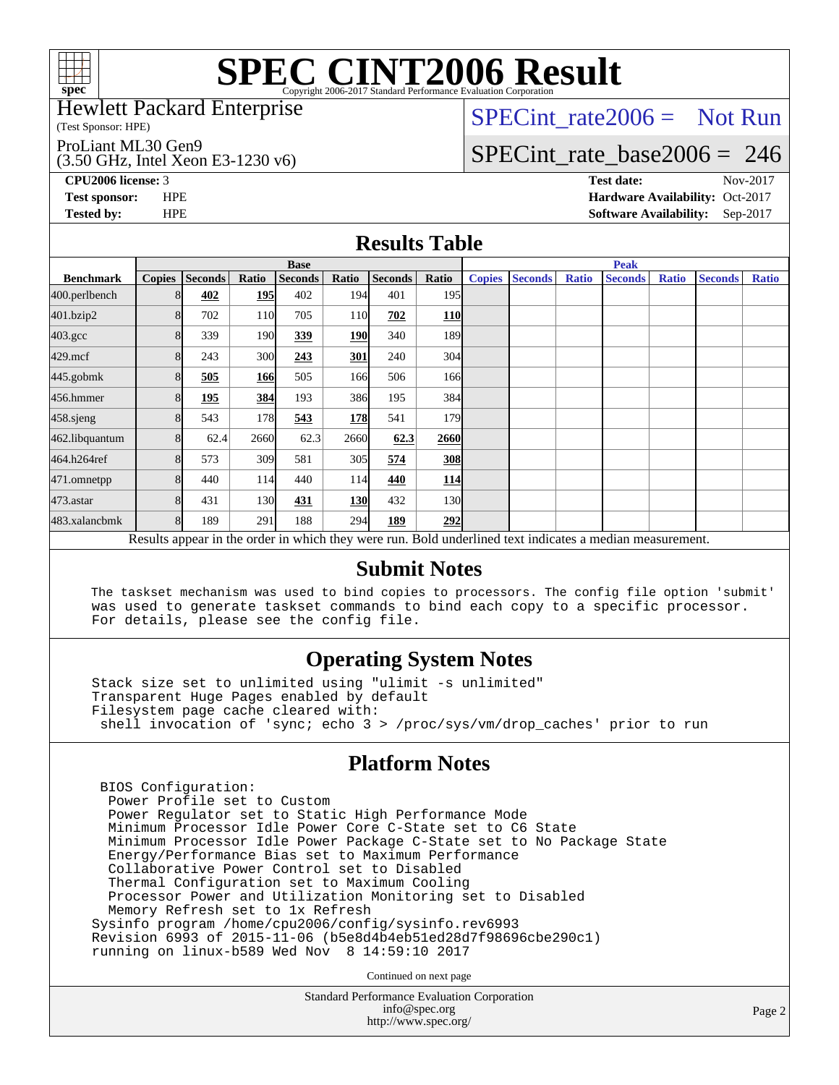

Hewlett Packard Enterprise

(Test Sponsor: HPE)

ProLiant ML30 Gen9

(3.50 GHz, Intel Xeon E3-1230 v6)

[SPECint\\_rate2006 =](http://www.spec.org/auto/cpu2006/Docs/result-fields.html#SPECintrate2006) Not Run

### [SPECint\\_rate\\_base2006 =](http://www.spec.org/auto/cpu2006/Docs/result-fields.html#SPECintratebase2006) 246

**[CPU2006 license:](http://www.spec.org/auto/cpu2006/Docs/result-fields.html#CPU2006license)** 3 **[Test date:](http://www.spec.org/auto/cpu2006/Docs/result-fields.html#Testdate)** Nov-2017 **[Test sponsor:](http://www.spec.org/auto/cpu2006/Docs/result-fields.html#Testsponsor)** HPE **[Hardware Availability:](http://www.spec.org/auto/cpu2006/Docs/result-fields.html#HardwareAvailability)** Oct-2017 **[Tested by:](http://www.spec.org/auto/cpu2006/Docs/result-fields.html#Testedby)** HPE **[Software Availability:](http://www.spec.org/auto/cpu2006/Docs/result-fields.html#SoftwareAvailability)** Sep-2017

### **[Results Table](http://www.spec.org/auto/cpu2006/Docs/result-fields.html#ResultsTable)**

|                    | <b>Base</b>   |                |            |                |            |                |            | <b>Peak</b>   |                |              |                                                                                                          |              |                |              |
|--------------------|---------------|----------------|------------|----------------|------------|----------------|------------|---------------|----------------|--------------|----------------------------------------------------------------------------------------------------------|--------------|----------------|--------------|
| <b>Benchmark</b>   | <b>Copies</b> | <b>Seconds</b> | Ratio      | <b>Seconds</b> | Ratio      | <b>Seconds</b> | Ratio      | <b>Copies</b> | <b>Seconds</b> | <b>Ratio</b> | <b>Seconds</b>                                                                                           | <b>Ratio</b> | <b>Seconds</b> | <b>Ratio</b> |
| 400.perlbench      | 8             | 402            | <b>195</b> | 402            | 194        | 401            | 195        |               |                |              |                                                                                                          |              |                |              |
| 401.bzip2          | 8             | 702            | 110        | 705            | <b>110</b> | 702            | <b>110</b> |               |                |              |                                                                                                          |              |                |              |
| $403.\mathrm{gcc}$ | 8             | 339            | 190        | 339            | <b>190</b> | 340            | 189        |               |                |              |                                                                                                          |              |                |              |
| $429$ .mcf         | 8             | 243            | 300        | 243            | 301        | 240            | 304        |               |                |              |                                                                                                          |              |                |              |
| $445$ .gobm $k$    | 8             | 505            | 166        | 505            | 166        | 506            | 166        |               |                |              |                                                                                                          |              |                |              |
| 456.hmmer          | 8             | 195            | 384        | 193            | 386        | 195            | 384        |               |                |              |                                                                                                          |              |                |              |
| $458$ .sjeng       | 8             | 543            | 178        | 543            | <b>178</b> | 541            | 179l       |               |                |              |                                                                                                          |              |                |              |
| 462.libquantum     | 8             | 62.4           | 2660       | 62.3           | 2660       | 62.3           | 2660       |               |                |              |                                                                                                          |              |                |              |
| 464.h264ref        | 8             | 573            | 309        | 581            | 305        | 574            | <b>308</b> |               |                |              |                                                                                                          |              |                |              |
| 471.omnetpp        | 8             | 440            | 114        | 440            | 114        | 440            | <u>114</u> |               |                |              |                                                                                                          |              |                |              |
| 473.astar          | 8             | 431            | 130        | 431            | 130        | 432            | 130l       |               |                |              |                                                                                                          |              |                |              |
| 483.xalancbmk      | 8             | 189            | 291        | 188            | 294        | 189            | 292        |               |                |              |                                                                                                          |              |                |              |
|                    |               |                |            |                |            |                |            |               |                |              | Results appear in the order in which they were run. Bold underlined text indicates a median measurement. |              |                |              |

#### **[Submit Notes](http://www.spec.org/auto/cpu2006/Docs/result-fields.html#SubmitNotes)**

 The taskset mechanism was used to bind copies to processors. The config file option 'submit' was used to generate taskset commands to bind each copy to a specific processor. For details, please see the config file.

### **[Operating System Notes](http://www.spec.org/auto/cpu2006/Docs/result-fields.html#OperatingSystemNotes)**

 Stack size set to unlimited using "ulimit -s unlimited" Transparent Huge Pages enabled by default Filesystem page cache cleared with: shell invocation of 'sync; echo 3 > /proc/sys/vm/drop\_caches' prior to run

### **[Platform Notes](http://www.spec.org/auto/cpu2006/Docs/result-fields.html#PlatformNotes)**

 BIOS Configuration: Power Profile set to Custom Power Regulator set to Static High Performance Mode Minimum Processor Idle Power Core C-State set to C6 State Minimum Processor Idle Power Package C-State set to No Package State Energy/Performance Bias set to Maximum Performance Collaborative Power Control set to Disabled Thermal Configuration set to Maximum Cooling Processor Power and Utilization Monitoring set to Disabled Memory Refresh set to 1x Refresh Sysinfo program /home/cpu2006/config/sysinfo.rev6993 Revision 6993 of 2015-11-06 (b5e8d4b4eb51ed28d7f98696cbe290c1) running on linux-b589 Wed Nov 8 14:59:10 2017

Continued on next page

Standard Performance Evaluation Corporation [info@spec.org](mailto:info@spec.org) <http://www.spec.org/>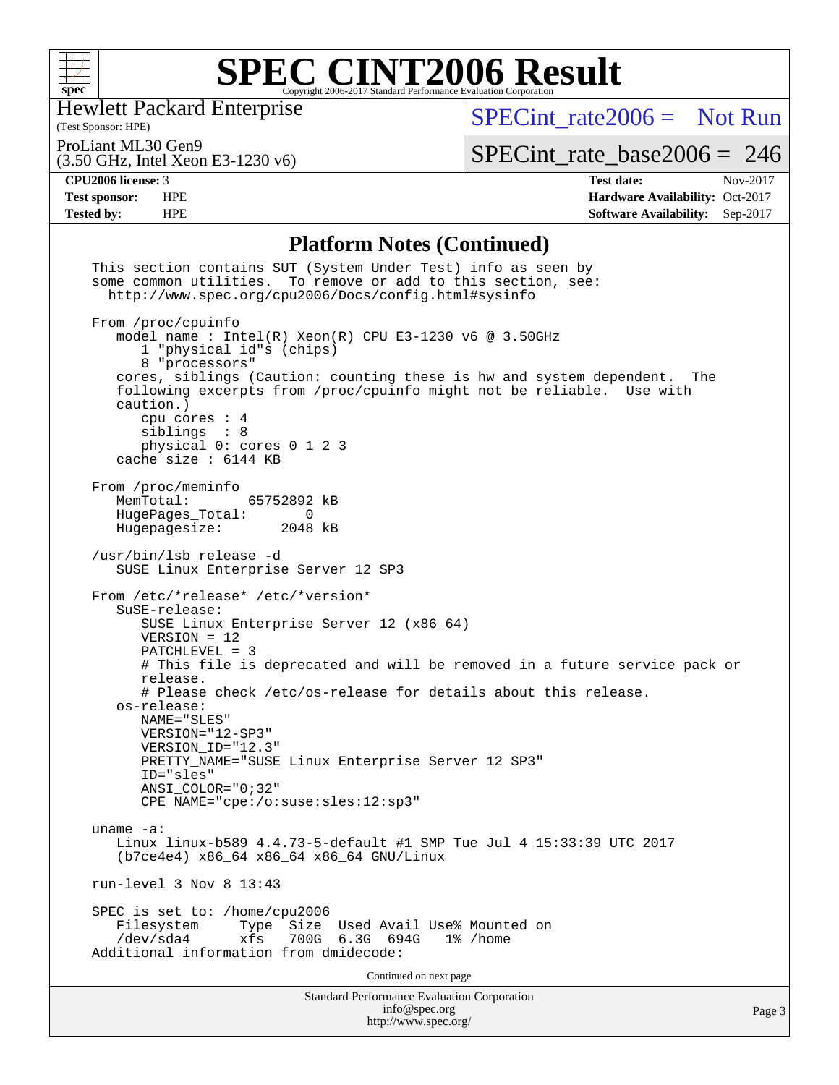

Hewlett Packard Enterprise

(Test Sponsor: HPE)

[SPECint\\_rate2006 =](http://www.spec.org/auto/cpu2006/Docs/result-fields.html#SPECintrate2006) Not Run

ProLiant ML30 Gen9

(3.50 GHz, Intel Xeon E3-1230 v6)

[SPECint\\_rate\\_base2006 =](http://www.spec.org/auto/cpu2006/Docs/result-fields.html#SPECintratebase2006) 246

**[CPU2006 license:](http://www.spec.org/auto/cpu2006/Docs/result-fields.html#CPU2006license)** 3 **[Test date:](http://www.spec.org/auto/cpu2006/Docs/result-fields.html#Testdate)** Nov-2017 **[Test sponsor:](http://www.spec.org/auto/cpu2006/Docs/result-fields.html#Testsponsor)** HPE **[Hardware Availability:](http://www.spec.org/auto/cpu2006/Docs/result-fields.html#HardwareAvailability)** Oct-2017 **[Tested by:](http://www.spec.org/auto/cpu2006/Docs/result-fields.html#Testedby)** HPE **[Software Availability:](http://www.spec.org/auto/cpu2006/Docs/result-fields.html#SoftwareAvailability)** Sep-2017

### **[Platform Notes \(Continued\)](http://www.spec.org/auto/cpu2006/Docs/result-fields.html#PlatformNotes)**

| <b>Standard Performance Evaluation Corporation</b><br>info@spec.org<br>http://www.spec.org/                                                                                                                                                                                                                                                                                              | Page 3 |
|------------------------------------------------------------------------------------------------------------------------------------------------------------------------------------------------------------------------------------------------------------------------------------------------------------------------------------------------------------------------------------------|--------|
| Continued on next page                                                                                                                                                                                                                                                                                                                                                                   |        |
| SPEC is set to: /home/cpu2006<br>Size Used Avail Use% Mounted on<br>Filesystem<br>Type<br>700G 6.3G 694G<br>$/\text{dev/sda4}$<br>xfs<br>1% /home<br>Additional information from dmidecode:                                                                                                                                                                                              |        |
| run-level $3$ Nov $8$ 13:43                                                                                                                                                                                                                                                                                                                                                              |        |
| $uname -a$ :<br>Linux linux-b589 4.4.73-5-default #1 SMP Tue Jul 4 15:33:39 UTC 2017<br>(b7ce4e4) x86_64 x86_64 x86_64 GNU/Linux                                                                                                                                                                                                                                                         |        |
| # Please check /etc/os-release for details about this release.<br>os-release:<br>NAME="SLES"<br>VERSION="12-SP3"<br>VERSION ID="12.3"<br>PRETTY_NAME="SUSE Linux Enterprise Server 12 SP3"<br>ID="sles"<br>ANSI COLOR="0;32"<br>CPE_NAME="cpe:/o:suse:sles:12:sp3"                                                                                                                       |        |
| SuSE-release:<br>SUSE Linux Enterprise Server 12 (x86_64)<br>$VERSION = 12$<br>$PATCHLEVEL = 3$<br># This file is deprecated and will be removed in a future service pack or<br>release.                                                                                                                                                                                                 |        |
| /usr/bin/lsb_release -d<br>SUSE Linux Enterprise Server 12 SP3<br>From /etc/*release* /etc/*version*                                                                                                                                                                                                                                                                                     |        |
| From /proc/meminfo<br>MemTotal:<br>65752892 kB<br>HugePages_Total:<br>$\sim$ 0<br>Hugepagesize:<br>2048 kB                                                                                                                                                                                                                                                                               |        |
| From /proc/cpuinfo<br>model name: $Intel(R)$ Xeon(R) CPU E3-1230 v6 @ 3.50GHz<br>1 "physical id"s (chips)<br>8 "processors"<br>cores, siblings (Caution: counting these is hw and system dependent.<br>The<br>following excerpts from /proc/cpuinfo might not be reliable. Use with<br>caution.)<br>cpu cores $: 4$<br>siblings : 8<br>physical 0: cores 0 1 2 3<br>cache size : 6144 KB |        |
| This section contains SUT (System Under Test) info as seen by<br>some common utilities. To remove or add to this section, see:<br>http://www.spec.org/cpu2006/Docs/config.html#sysinfo                                                                                                                                                                                                   |        |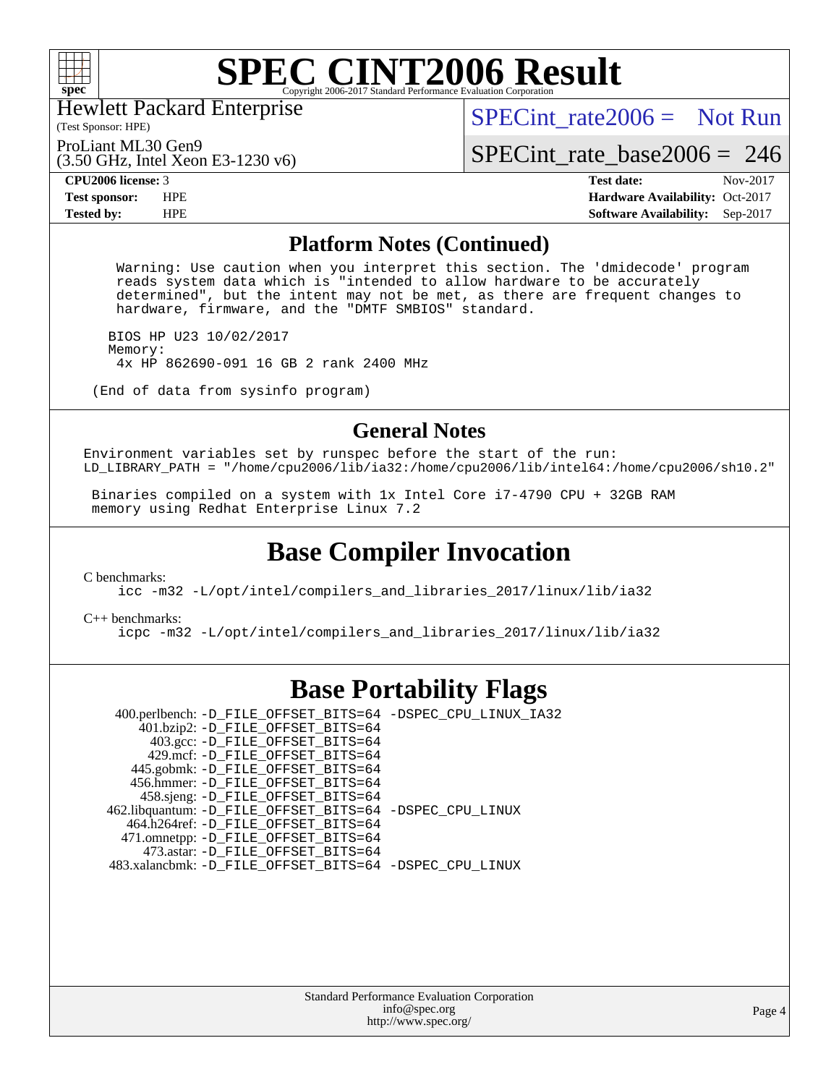

Hewlett Packard Enterprise

(Test Sponsor: HPE)

[SPECint\\_rate2006 =](http://www.spec.org/auto/cpu2006/Docs/result-fields.html#SPECintrate2006) Not Run

ProLiant ML30 Gen9

(3.50 GHz, Intel Xeon E3-1230 v6)

[SPECint\\_rate\\_base2006 =](http://www.spec.org/auto/cpu2006/Docs/result-fields.html#SPECintratebase2006) 246 **[CPU2006 license:](http://www.spec.org/auto/cpu2006/Docs/result-fields.html#CPU2006license)** 3 **[Test date:](http://www.spec.org/auto/cpu2006/Docs/result-fields.html#Testdate)** Nov-2017

**[Test sponsor:](http://www.spec.org/auto/cpu2006/Docs/result-fields.html#Testsponsor)** HPE **[Hardware Availability:](http://www.spec.org/auto/cpu2006/Docs/result-fields.html#HardwareAvailability)** Oct-2017 **[Tested by:](http://www.spec.org/auto/cpu2006/Docs/result-fields.html#Testedby)** HPE **[Software Availability:](http://www.spec.org/auto/cpu2006/Docs/result-fields.html#SoftwareAvailability)** Sep-2017

#### **[Platform Notes \(Continued\)](http://www.spec.org/auto/cpu2006/Docs/result-fields.html#PlatformNotes)**

 Warning: Use caution when you interpret this section. The 'dmidecode' program reads system data which is "intended to allow hardware to be accurately determined", but the intent may not be met, as there are frequent changes to hardware, firmware, and the "DMTF SMBIOS" standard.

 BIOS HP U23 10/02/2017 Memory: 4x HP 862690-091 16 GB 2 rank 2400 MHz

(End of data from sysinfo program)

### **[General Notes](http://www.spec.org/auto/cpu2006/Docs/result-fields.html#GeneralNotes)**

Environment variables set by runspec before the start of the run: LD\_LIBRARY\_PATH = "/home/cpu2006/lib/ia32:/home/cpu2006/lib/intel64:/home/cpu2006/sh10.2"

 Binaries compiled on a system with 1x Intel Core i7-4790 CPU + 32GB RAM memory using Redhat Enterprise Linux 7.2

### **[Base Compiler Invocation](http://www.spec.org/auto/cpu2006/Docs/result-fields.html#BaseCompilerInvocation)**

[C benchmarks](http://www.spec.org/auto/cpu2006/Docs/result-fields.html#Cbenchmarks):

[icc -m32 -L/opt/intel/compilers\\_and\\_libraries\\_2017/linux/lib/ia32](http://www.spec.org/cpu2006/results/res2017q4/cpu2006-20171114-50619.flags.html#user_CCbase_intel_icc_c29f3ff5a7ed067b11e4ec10a03f03ae)

[C++ benchmarks:](http://www.spec.org/auto/cpu2006/Docs/result-fields.html#CXXbenchmarks)

[icpc -m32 -L/opt/intel/compilers\\_and\\_libraries\\_2017/linux/lib/ia32](http://www.spec.org/cpu2006/results/res2017q4/cpu2006-20171114-50619.flags.html#user_CXXbase_intel_icpc_8c35c7808b62dab9ae41a1aa06361b6b)

### **[Base Portability Flags](http://www.spec.org/auto/cpu2006/Docs/result-fields.html#BasePortabilityFlags)**

 400.perlbench: [-D\\_FILE\\_OFFSET\\_BITS=64](http://www.spec.org/cpu2006/results/res2017q4/cpu2006-20171114-50619.flags.html#user_basePORTABILITY400_perlbench_file_offset_bits_64_438cf9856305ebd76870a2c6dc2689ab) [-DSPEC\\_CPU\\_LINUX\\_IA32](http://www.spec.org/cpu2006/results/res2017q4/cpu2006-20171114-50619.flags.html#b400.perlbench_baseCPORTABILITY_DSPEC_CPU_LINUX_IA32) 401.bzip2: [-D\\_FILE\\_OFFSET\\_BITS=64](http://www.spec.org/cpu2006/results/res2017q4/cpu2006-20171114-50619.flags.html#user_basePORTABILITY401_bzip2_file_offset_bits_64_438cf9856305ebd76870a2c6dc2689ab) 403.gcc: [-D\\_FILE\\_OFFSET\\_BITS=64](http://www.spec.org/cpu2006/results/res2017q4/cpu2006-20171114-50619.flags.html#user_basePORTABILITY403_gcc_file_offset_bits_64_438cf9856305ebd76870a2c6dc2689ab) 429.mcf: [-D\\_FILE\\_OFFSET\\_BITS=64](http://www.spec.org/cpu2006/results/res2017q4/cpu2006-20171114-50619.flags.html#user_basePORTABILITY429_mcf_file_offset_bits_64_438cf9856305ebd76870a2c6dc2689ab) 445.gobmk: [-D\\_FILE\\_OFFSET\\_BITS=64](http://www.spec.org/cpu2006/results/res2017q4/cpu2006-20171114-50619.flags.html#user_basePORTABILITY445_gobmk_file_offset_bits_64_438cf9856305ebd76870a2c6dc2689ab) 456.hmmer: [-D\\_FILE\\_OFFSET\\_BITS=64](http://www.spec.org/cpu2006/results/res2017q4/cpu2006-20171114-50619.flags.html#user_basePORTABILITY456_hmmer_file_offset_bits_64_438cf9856305ebd76870a2c6dc2689ab) 458.sjeng: [-D\\_FILE\\_OFFSET\\_BITS=64](http://www.spec.org/cpu2006/results/res2017q4/cpu2006-20171114-50619.flags.html#user_basePORTABILITY458_sjeng_file_offset_bits_64_438cf9856305ebd76870a2c6dc2689ab) 462.libquantum: [-D\\_FILE\\_OFFSET\\_BITS=64](http://www.spec.org/cpu2006/results/res2017q4/cpu2006-20171114-50619.flags.html#user_basePORTABILITY462_libquantum_file_offset_bits_64_438cf9856305ebd76870a2c6dc2689ab) [-DSPEC\\_CPU\\_LINUX](http://www.spec.org/cpu2006/results/res2017q4/cpu2006-20171114-50619.flags.html#b462.libquantum_baseCPORTABILITY_DSPEC_CPU_LINUX) 464.h264ref: [-D\\_FILE\\_OFFSET\\_BITS=64](http://www.spec.org/cpu2006/results/res2017q4/cpu2006-20171114-50619.flags.html#user_basePORTABILITY464_h264ref_file_offset_bits_64_438cf9856305ebd76870a2c6dc2689ab) 471.omnetpp: [-D\\_FILE\\_OFFSET\\_BITS=64](http://www.spec.org/cpu2006/results/res2017q4/cpu2006-20171114-50619.flags.html#user_basePORTABILITY471_omnetpp_file_offset_bits_64_438cf9856305ebd76870a2c6dc2689ab) 473.astar: [-D\\_FILE\\_OFFSET\\_BITS=64](http://www.spec.org/cpu2006/results/res2017q4/cpu2006-20171114-50619.flags.html#user_basePORTABILITY473_astar_file_offset_bits_64_438cf9856305ebd76870a2c6dc2689ab) 483.xalancbmk: [-D\\_FILE\\_OFFSET\\_BITS=64](http://www.spec.org/cpu2006/results/res2017q4/cpu2006-20171114-50619.flags.html#user_basePORTABILITY483_xalancbmk_file_offset_bits_64_438cf9856305ebd76870a2c6dc2689ab) [-DSPEC\\_CPU\\_LINUX](http://www.spec.org/cpu2006/results/res2017q4/cpu2006-20171114-50619.flags.html#b483.xalancbmk_baseCXXPORTABILITY_DSPEC_CPU_LINUX)